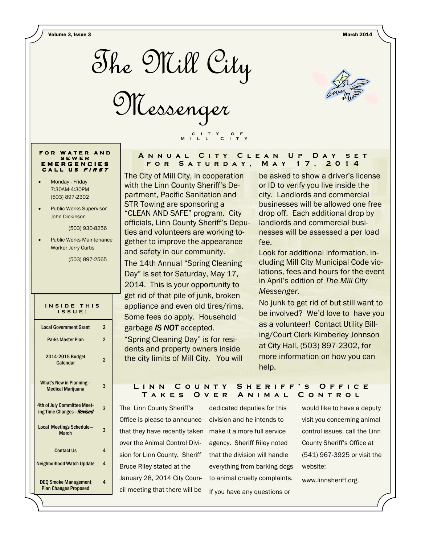Volume 3, Issue 3 March 2014



Messenger

C I T Y O F M I L L C I T Y



#### FOR WATER AND S E W E R E M E R G E N C I E S CALL US FIRST

- Monday Friday 7:30AM-4:30PM (503) 897-2302
- Public Works Supervisor John Dickinson

(503) 930-8256

• Public Works Maintenance Worker Jerry Curtis

(503) 897-2565

#### INSIDE THIS I S S U E :

| <b>Local Government Grant</b>                               | 2              |
|-------------------------------------------------------------|----------------|
| <b>Parks Master Plan</b>                                    | $\overline{2}$ |
| 2014-2015 Budget<br>Calendar                                | 2              |
| <b>What's New in Planning-</b><br><b>Medical Marijuana</b>  | 3              |
| 4th of July Committee Meet-<br>ing Time Changes-Revised     | 3              |
| <b>Local Meetings Schedule-</b><br><b>March</b>             | 3              |
| <b>Contact Us</b>                                           | 4              |
| <b>Neighborhood Watch Update</b>                            | 4              |
| <b>DEO Smoke Management</b><br><b>Plan Changes Proposed</b> | 4              |

### A N N U A L C I T Y C L E A N U P D A Y S E T FOR SATURDAY, MAY 17, 2014

The City of Mill City, in cooperation with the Linn County Sheriff's Department, Pacific Sanitation and STR Towing are sponsoring a "CLEAN AND SAFE" program. City officials, Linn County Sheriff's Deputies and volunteers are working together to improve the appearance and safety in our community. The 14th Annual "Spring Cleaning Day" is set for Saturday, May 17, 2014. This is your opportunity to get rid of that pile of junk, broken appliance and even old tires/rims.

Some fees do apply. Household garbage IS NOT accepted.

"Spring Cleaning Day" is for residents and property owners inside the city limits of Mill City. You will

be asked to show a driver's license or ID to verify you live inside the city. Landlords and commercial businesses will be allowed one free drop off. Each additional drop by landlords and commercial businesses will be assessed a per load fee.

Look for additional information, including Mill City Municipal Code violations, fees and hours for the event in April's edition of The Mill City Messenger.

No junk to get rid of but still want to be involved? We'd love to have you as a volunteer! Contact Utility Billing/Court Clerk Kimberley Johnson at City Hall, (503) 897-2302, for more information on how you can help.

# LINN COUNTY SHERIFF'S OFFICE TAKES OVER ANIMAL CONTROL

The Linn County Sheriff's Office is please to announce division and he intends to that they have recently taken make it a more full service over the Animal Control Division for Linn County. Sheriff Bruce Riley stated at the January 28, 2014 City Council meeting that there will be

dedicated deputies for this agency. Sheriff Riley noted that the division will handle everything from barking dogs to animal cruelty complaints. If you have any questions or

would like to have a deputy visit you concerning animal control issues, call the Linn County Sheriff's Office at (541) 967-3925 or visit the website:

www.linnsheriff.org.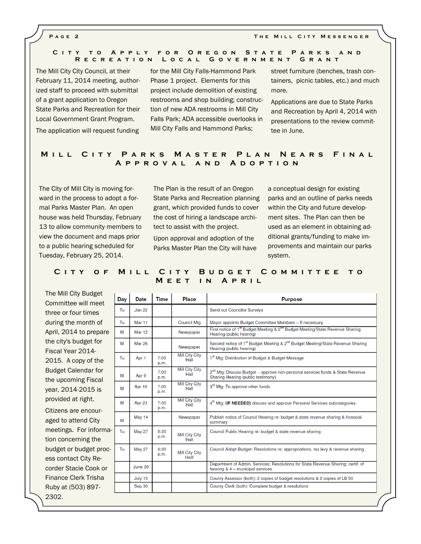#### P a g e 2 T h e M i l l C i t y M e s s e n g e r

#### CITY TO APPLY FOR OREGON STATE PARKS AND R E C R E A T I O N L O C A L G O V E R N M E N T G R A N T

The Mill City City Council, at their February 11, 2014 meeting, authorized staff to proceed with submittal of a grant application to Oregon State Parks and Recreation for their Local Government Grant Program.

The application will request funding

for the Mill City Falls-Hammond Park Phase 1 project. Elements for this project include demolition of existing restrooms and shop building; construction of new ADA restrooms in Mill City Falls Park; ADA accessible overlooks in Mill City Falls and Hammond Parks;

street furniture (benches, trash containers, picnic tables, etc.) and much more.

Applications are due to State Parks and Recreation by April 4, 2014 with presentations to the review committee in June.

## MILL CITY PARKS MASTER PLAN NEARS FINAL A p p r o v a l a n d A d o p t i o n

The City of Mill City is moving forward in the process to adopt a formal Parks Master Plan. An open house was held Thursday, February 13 to allow community members to view the document and maps prior to a public hearing scheduled for Tuesday, February 25, 2014.

The Plan is the result of an Oregon State Parks and Recreation planning grant, which provided funds to cover the cost of hiring a landscape architect to assist with the project.

Upon approval and adoption of the Parks Master Plan the City will have a conceptual design for existing parks and an outline of parks needs within the City and future development sites. The Plan can then be used as an element in obtaining additional grants/funding to make improvements and maintain our parks system.

## CITY OF MILL CITY BUDGET COMMITTEE TO MEET IN APRIL

Committee will meet three or four times during the month of April, 2014 to prepare the city's budget for Fiscal Year 2014- 2015. A copy of the Budget Calendar for the upcoming Fiscal year, 2014-2015 is provided at right. Citizens are encouraged to attend City meetings. For information concerning the budget or budget process contact City Recorder Stacie Cook or Finance Clerk Trisha Ruby at (503) 897- 2302.

The Mill City Budget

| Day | <b>Date</b>   | Time         | Place                          | <b>Purpose</b>                                                                                                                     |  |  |
|-----|---------------|--------------|--------------------------------|------------------------------------------------------------------------------------------------------------------------------------|--|--|
| Tu  | Jan 22        |              |                                | Send out Councilor Surveys                                                                                                         |  |  |
| Tu  | Mar 11        |              | <b>Council Mtg</b>             | Mayor appoints Budget Committee Members - If necessary                                                                             |  |  |
| W   | <b>Mar 12</b> |              | Newspaper                      | First notice of 1 <sup>st</sup> Budget Meeting & 2 <sup>nd</sup> Budget Meeting/State Revenue Sharing<br>Hearing (public hearing)  |  |  |
| W   | <b>Mar 26</b> |              | Newspaper                      | Second notice of 1 <sup>st</sup> Budget Meeting & 2 <sup>nd</sup> Budget Meeting/State Revenue Sharing<br>Hearing (public hearing) |  |  |
| Tu  | Apr 1         | 7:00<br>p.m. | Mill City City<br>Hall         | 1 <sup>st</sup> Mtg: Distribution of Budget & Budget Message                                                                       |  |  |
| W   | Apr 9         | 7:00<br>p.m. | <b>Mill City City</b><br>Hall  | 2 <sup>nd</sup> Mtg: Discuss Budget - approve non-personal services funds & State Revenue<br>Sharing Hearing (public testimony)    |  |  |
| W   | Apr 16        | 7:00<br>p.m. | Mill City City<br>Hall         | 3 <sup>rd</sup> Mtg: To approve other funds.                                                                                       |  |  |
| W   | Apr 23        | 7:00<br>p.m. | Mill City City<br>Hall         | 4 <sup>th</sup> Mtg: (IF NEEDED) discuss and approve Personal Services subcategories.                                              |  |  |
| W   | May 14        |              | Newspaper                      | Publish notice of Council Hearing re: budget & state revenue sharing & financial<br>summary                                        |  |  |
| Tu  | <b>May 27</b> | 6:30<br>p.m. | Mill City City<br>Hall         | Council Public Hearing re: budget & state revenue sharing                                                                          |  |  |
| Tu  | <b>May 27</b> | 6:30<br>p.m. | <b>Mill City City</b><br>Halll | Council Adopt Budget: Resolutions re: appropriations, tax levy & revenue sharing.                                                  |  |  |
|     | June 30       |              |                                | Department of Admin. Services; Resolutions for State Revenue Sharing: certif. of<br>hearing $8.4 +$ municipal services             |  |  |
|     | July 15       |              |                                | County Assessor (both): 2 copies of budget resolutions & 2 copies of LB 50                                                         |  |  |
|     | Sep 30        |              |                                | County Clerk (both): Complete budget & resolutions                                                                                 |  |  |
|     |               |              |                                |                                                                                                                                    |  |  |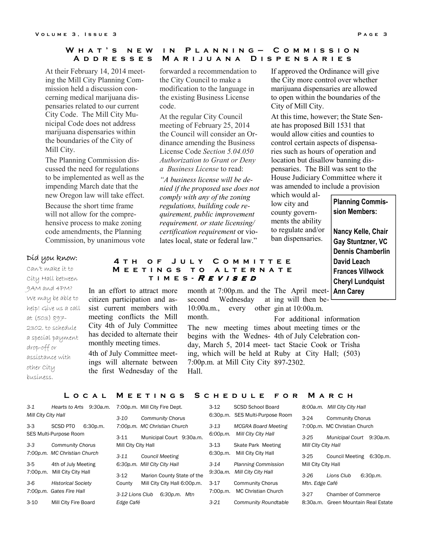### W H A T 'S N E W IN PL A N N I N G - COMMISSION A D D R E S S E S M A R I J U A N A D I S P E N S A R I E S

At their February 14, 2014 meeting the Mill City Planning Commission held a discussion concerning medical marijuana dispensaries related to our current City Code. The Mill City Municipal Code does not address marijuana dispensaries within the boundaries of the City of Mill City.

The Planning Commission discussed the need for regulations to be implemented as well as the impending March date that the new Oregon law will take effect.

Because the short time frame will not allow for the comprehensive process to make zoning code amendments, the Planning Commission, by unanimous vote

forwarded a recommendation to the City Council to make a modification to the language in the existing Business License code.

At the regular City Council meeting of February 25, 2014 the Council will consider an Ordinance amending the Business License Code Section 5.04.050 Authorization to Grant or Deny a Business License to read:

"A business license will be denied if the proposed use does not comply with any of the zoning regulations, building code requirement, public improvement requirement, or state licensing/ certification requirement or violates local, state or federal law."

If approved the Ordinance will give the City more control over whether marijuana dispensaries are allowed to open within the boundaries of the City of Mill City.

At this time, however; the State Senate has proposed Bill 1531 that would allow cities and counties to control certain aspects of dispensaries such as hours of operation and location but disallow banning dispensaries. The Bill was sent to the House Judiciary Committee where it was amended to include a provision

which would allow city and county governments the ability to regulate and/or ban dispensaries.

#### Did you know:

Can't make it to City Hall between 9AM and 4PM? We may be able to help! Give us a call at (503) 897- 2302. to schedule a special payment drop-off or assistance with other City business.

# 4 TH OF JULY COMMITTEE M E E T I N G S T O A L T E R N A T E TIMES - REVISED

In an effort to attract more citizen participation and assist current members with meeting conflicts the Mill City 4th of July Committee has decided to alternate their monthly meeting times.

4th of July Committee meetings will alternate between the first Wednesday of the month at 7:00p.m. and the The April meetsecond Wednesday 10:00a.m., every other gin at 10:00a.m. month.

The new meeting times about meeting times or the begins with the Wednes-4th of July Celebration conday, March 5, 2014 meet-tact Stacie Cook or Trisha ing, which will be held at Ruby at City Hall; (503) 7:00p.m. at Mill City City 897-2302. Hall.

at ing will then be-

For additional information

### L O C A L M E E T I N G S S C H E D U L E F O R M A R C H

| 3-1                    | 9:30a.m.<br>Hearts to Arts                  |          | 7:00p.m. Mill City Fire Dept. | $3-12$   | <b>SCSD School Board</b>        |                     | 8:00a.m. Mill City City Hall        |
|------------------------|---------------------------------------------|----------|-------------------------------|----------|---------------------------------|---------------------|-------------------------------------|
| Mill City City Hall    |                                             | $3 - 10$ | <b>Community Chorus</b>       |          | 6:30p.m. SES Multi-Purpose Room | $3 - 24$            | <b>Community Chorus</b>             |
| 3-3                    | <b>SCSD PTO</b><br>6:30p.m.                 |          | 7:00p.m. MC Christian Church  | $3 - 13$ | <b>MCGRA Board Meeting</b>      |                     | 7:00p.m. MC Christian Church        |
| SES Multi-Purpose Room |                                             | $3 - 11$ | Municipal Court 9:30a.m.      | 6:00p.m. | Mill City City Hall             | $3 - 25$            | Municipal Court 9:30a.m.            |
| 3-3                    | <b>Community Chorus</b>                     |          | Mill City City Hall           |          | Skate Park Meeting              | Mill City City Hall |                                     |
|                        | 7:00p.m. MC Christian Church<br>$3 - 11$    |          | <b>Council Meeting</b>        | 6:30p.m. | Mill City City Hall             | $3 - 25$            | 6:30p.m.<br><b>Council Meeting</b>  |
| 3-5                    | 4th of July Meeting                         |          | 6:30p.m. Mill City City Hall  | $3 - 14$ | <b>Planning Commission</b>      | Mill City City Hall |                                     |
| 7:00p.m.               | Mill City City Hall                         | $3 - 12$ | Marion County State of the    | 9:30a.m. | Mill City City Hall             | $3 - 26$            | 6:30p.m.<br>Lions Club              |
| 3-6                    | <b>Historical Society</b>                   | County   | Mill City City Hall 6:00p.m.  | $3 - 17$ | <b>Community Chorus</b>         | Mtn. Edge Café      |                                     |
|                        | 7:00p.m. Gates Fire Hall<br>3-12 Lions Club |          | 6:30p.m. Mtn                  | 7:00p.m. | MC Christian Church             | $3-27$              | <b>Chamber of Commerce</b>          |
| 3-10                   | Mill City Fire Board<br>Edge Café           |          |                               | $3 - 21$ | Community Roundtable            |                     | 8:30a.m. Green Mountain Real Estate |

Planning Commission Members:

Nancy Kelle, Chair Gay Stuntzner, VC Dennis Chamberlin David Leach Frances Villwock Cheryl Lundquist Ann Carey